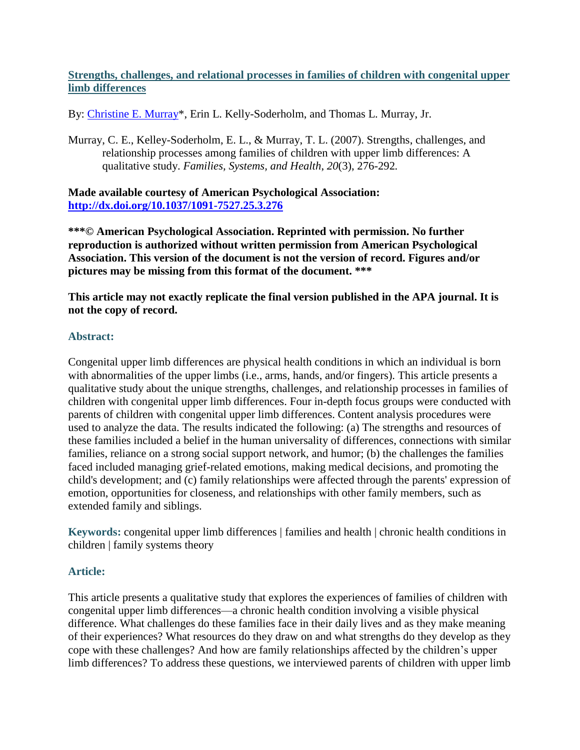# **Strengths, challenges, and relational processes in families of children with congenital upper limb differences**

By: [Christine E. Murray\\*](https://libres.uncg.edu/ir/uncg/clist.aspx?id=894), Erin L. Kelly-Soderholm, and Thomas L. Murray, Jr.

Murray, C. E., Kelley-Soderholm, E. L., & Murray, T. L. (2007). Strengths, challenges, and relationship processes among families of children with upper limb differences: A qualitative study. *Families, Systems, and Health*, *20*(3), 276-292*.*

**Made available courtesy of American Psychological Association: <http://dx.doi.org/10.1037/1091-7527.25.3.276>**

**\*\*\*© American Psychological Association. Reprinted with permission. No further reproduction is authorized without written permission from American Psychological Association. This version of the document is not the version of record. Figures and/or pictures may be missing from this format of the document. \*\*\***

**This article may not exactly replicate the final version published in the APA journal. It is not the copy of record.**

## **Abstract:**

Congenital upper limb differences are physical health conditions in which an individual is born with abnormalities of the upper limbs (i.e., arms, hands, and/or fingers). This article presents a qualitative study about the unique strengths, challenges, and relationship processes in families of children with congenital upper limb differences. Four in-depth focus groups were conducted with parents of children with congenital upper limb differences. Content analysis procedures were used to analyze the data. The results indicated the following: (a) The strengths and resources of these families included a belief in the human universality of differences, connections with similar families, reliance on a strong social support network, and humor; (b) the challenges the families faced included managing grief-related emotions, making medical decisions, and promoting the child's development; and (c) family relationships were affected through the parents' expression of emotion, opportunities for closeness, and relationships with other family members, such as extended family and siblings.

**Keywords:** congenital upper limb differences | families and health | chronic health conditions in children | family systems theory

# **Article:**

This article presents a qualitative study that explores the experiences of families of children with congenital upper limb differences—a chronic health condition involving a visible physical difference. What challenges do these families face in their daily lives and as they make meaning of their experiences? What resources do they draw on and what strengths do they develop as they cope with these challenges? And how are family relationships affected by the children's upper limb differences? To address these questions, we interviewed parents of children with upper limb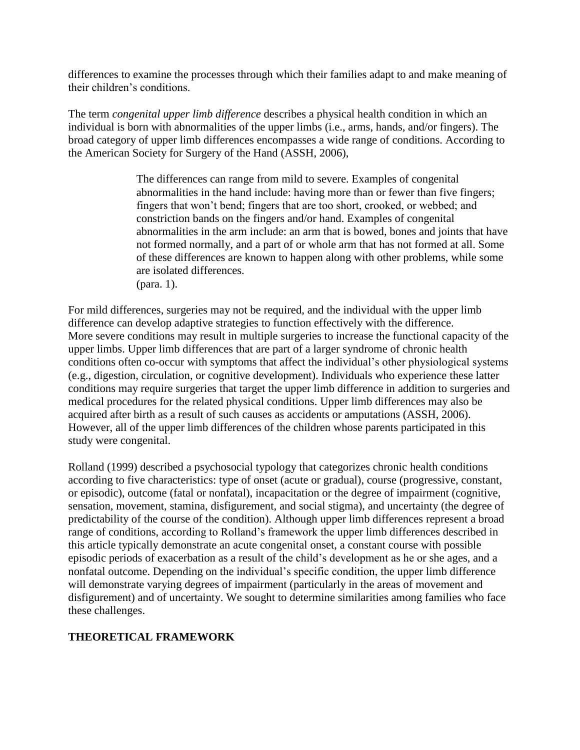differences to examine the processes through which their families adapt to and make meaning of their children's conditions.

The term *congenital upper limb difference* describes a physical health condition in which an individual is born with abnormalities of the upper limbs (i.e., arms, hands, and/or fingers). The broad category of upper limb differences encompasses a wide range of conditions. According to the American Society for Surgery of the Hand (ASSH, 2006),

> The differences can range from mild to severe. Examples of congenital abnormalities in the hand include: having more than or fewer than five fingers; fingers that won't bend; fingers that are too short, crooked, or webbed; and constriction bands on the fingers and/or hand. Examples of congenital abnormalities in the arm include: an arm that is bowed, bones and joints that have not formed normally, and a part of or whole arm that has not formed at all. Some of these differences are known to happen along with other problems, while some are isolated differences. (para. 1).

For mild differences, surgeries may not be required, and the individual with the upper limb difference can develop adaptive strategies to function effectively with the difference. More severe conditions may result in multiple surgeries to increase the functional capacity of the upper limbs. Upper limb differences that are part of a larger syndrome of chronic health conditions often co-occur with symptoms that affect the individual's other physiological systems (e.g., digestion, circulation, or cognitive development). Individuals who experience these latter conditions may require surgeries that target the upper limb difference in addition to surgeries and medical procedures for the related physical conditions. Upper limb differences may also be acquired after birth as a result of such causes as accidents or amputations (ASSH, 2006). However, all of the upper limb differences of the children whose parents participated in this study were congenital.

Rolland (1999) described a psychosocial typology that categorizes chronic health conditions according to five characteristics: type of onset (acute or gradual), course (progressive, constant, or episodic), outcome (fatal or nonfatal), incapacitation or the degree of impairment (cognitive, sensation, movement, stamina, disfigurement, and social stigma), and uncertainty (the degree of predictability of the course of the condition). Although upper limb differences represent a broad range of conditions, according to Rolland's framework the upper limb differences described in this article typically demonstrate an acute congenital onset, a constant course with possible episodic periods of exacerbation as a result of the child's development as he or she ages, and a nonfatal outcome. Depending on the individual's specific condition, the upper limb difference will demonstrate varying degrees of impairment (particularly in the areas of movement and disfigurement) and of uncertainty. We sought to determine similarities among families who face these challenges.

# **THEORETICAL FRAMEWORK**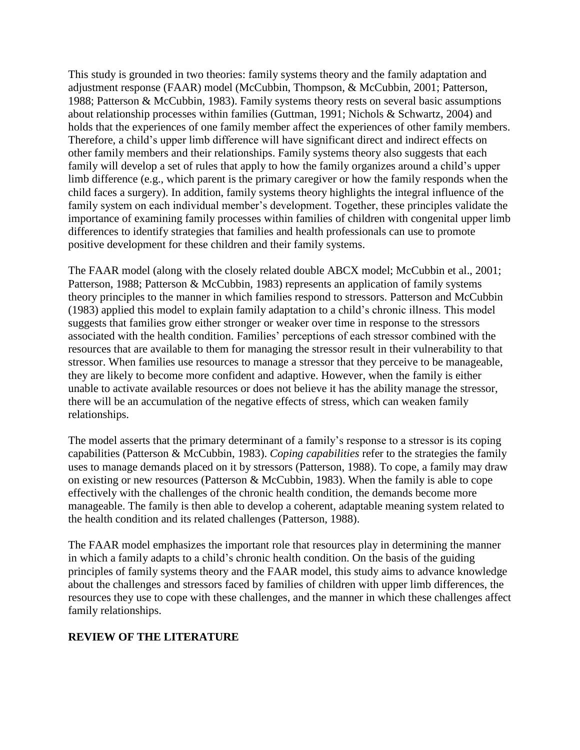This study is grounded in two theories: family systems theory and the family adaptation and adjustment response (FAAR) model (McCubbin, Thompson, & McCubbin, 2001; Patterson, 1988; Patterson & McCubbin, 1983). Family systems theory rests on several basic assumptions about relationship processes within families (Guttman, 1991; Nichols & Schwartz, 2004) and holds that the experiences of one family member affect the experiences of other family members. Therefore, a child's upper limb difference will have significant direct and indirect effects on other family members and their relationships. Family systems theory also suggests that each family will develop a set of rules that apply to how the family organizes around a child's upper limb difference (e.g., which parent is the primary caregiver or how the family responds when the child faces a surgery). In addition, family systems theory highlights the integral influence of the family system on each individual member's development. Together, these principles validate the importance of examining family processes within families of children with congenital upper limb differences to identify strategies that families and health professionals can use to promote positive development for these children and their family systems.

The FAAR model (along with the closely related double ABCX model; McCubbin et al., 2001; Patterson, 1988; Patterson & McCubbin, 1983) represents an application of family systems theory principles to the manner in which families respond to stressors. Patterson and McCubbin (1983) applied this model to explain family adaptation to a child's chronic illness. This model suggests that families grow either stronger or weaker over time in response to the stressors associated with the health condition. Families' perceptions of each stressor combined with the resources that are available to them for managing the stressor result in their vulnerability to that stressor. When families use resources to manage a stressor that they perceive to be manageable, they are likely to become more confident and adaptive. However, when the family is either unable to activate available resources or does not believe it has the ability manage the stressor, there will be an accumulation of the negative effects of stress, which can weaken family relationships.

The model asserts that the primary determinant of a family's response to a stressor is its coping capabilities (Patterson & McCubbin, 1983). *Coping capabilities* refer to the strategies the family uses to manage demands placed on it by stressors (Patterson, 1988). To cope, a family may draw on existing or new resources (Patterson & McCubbin, 1983). When the family is able to cope effectively with the challenges of the chronic health condition, the demands become more manageable. The family is then able to develop a coherent, adaptable meaning system related to the health condition and its related challenges (Patterson, 1988).

The FAAR model emphasizes the important role that resources play in determining the manner in which a family adapts to a child's chronic health condition. On the basis of the guiding principles of family systems theory and the FAAR model, this study aims to advance knowledge about the challenges and stressors faced by families of children with upper limb differences, the resources they use to cope with these challenges, and the manner in which these challenges affect family relationships.

#### **REVIEW OF THE LITERATURE**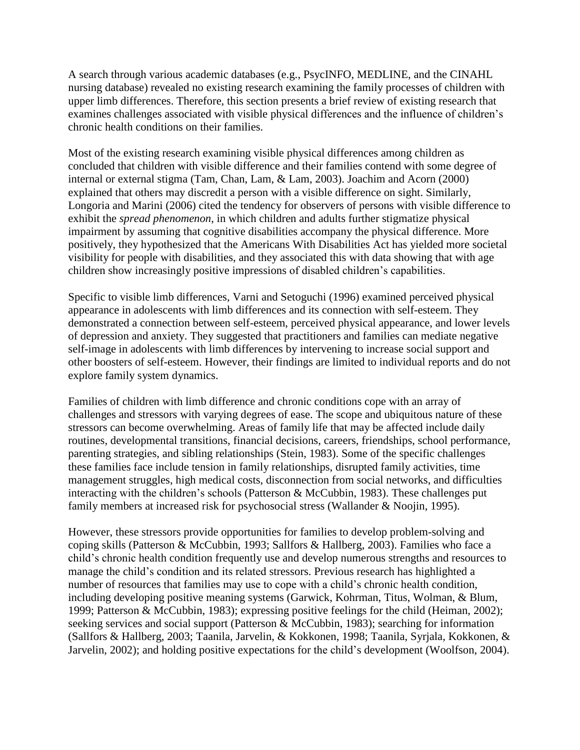A search through various academic databases (e.g., PsycINFO, MEDLINE, and the CINAHL nursing database) revealed no existing research examining the family processes of children with upper limb differences. Therefore, this section presents a brief review of existing research that examines challenges associated with visible physical differences and the influence of children's chronic health conditions on their families.

Most of the existing research examining visible physical differences among children as concluded that children with visible difference and their families contend with some degree of internal or external stigma (Tam, Chan, Lam, & Lam, 2003). Joachim and Acorn (2000) explained that others may discredit a person with a visible difference on sight. Similarly, Longoria and Marini (2006) cited the tendency for observers of persons with visible difference to exhibit the *spread phenomenon*, in which children and adults further stigmatize physical impairment by assuming that cognitive disabilities accompany the physical difference. More positively, they hypothesized that the Americans With Disabilities Act has yielded more societal visibility for people with disabilities, and they associated this with data showing that with age children show increasingly positive impressions of disabled children's capabilities.

Specific to visible limb differences, Varni and Setoguchi (1996) examined perceived physical appearance in adolescents with limb differences and its connection with self-esteem. They demonstrated a connection between self-esteem, perceived physical appearance, and lower levels of depression and anxiety. They suggested that practitioners and families can mediate negative self-image in adolescents with limb differences by intervening to increase social support and other boosters of self-esteem. However, their findings are limited to individual reports and do not explore family system dynamics.

Families of children with limb difference and chronic conditions cope with an array of challenges and stressors with varying degrees of ease. The scope and ubiquitous nature of these stressors can become overwhelming. Areas of family life that may be affected include daily routines, developmental transitions, financial decisions, careers, friendships, school performance, parenting strategies, and sibling relationships (Stein, 1983). Some of the specific challenges these families face include tension in family relationships, disrupted family activities, time management struggles, high medical costs, disconnection from social networks, and difficulties interacting with the children's schools (Patterson & McCubbin, 1983). These challenges put family members at increased risk for psychosocial stress (Wallander & Noojin, 1995).

However, these stressors provide opportunities for families to develop problem-solving and coping skills (Patterson & McCubbin, 1993; Sallfors & Hallberg, 2003). Families who face a child's chronic health condition frequently use and develop numerous strengths and resources to manage the child's condition and its related stressors. Previous research has highlighted a number of resources that families may use to cope with a child's chronic health condition, including developing positive meaning systems (Garwick, Kohrman, Titus, Wolman, & Blum, 1999; Patterson & McCubbin, 1983); expressing positive feelings for the child (Heiman, 2002); seeking services and social support (Patterson & McCubbin, 1983); searching for information (Sallfors & Hallberg, 2003; Taanila, Jarvelin, & Kokkonen, 1998; Taanila, Syrjala, Kokkonen, & Jarvelin, 2002); and holding positive expectations for the child's development (Woolfson, 2004).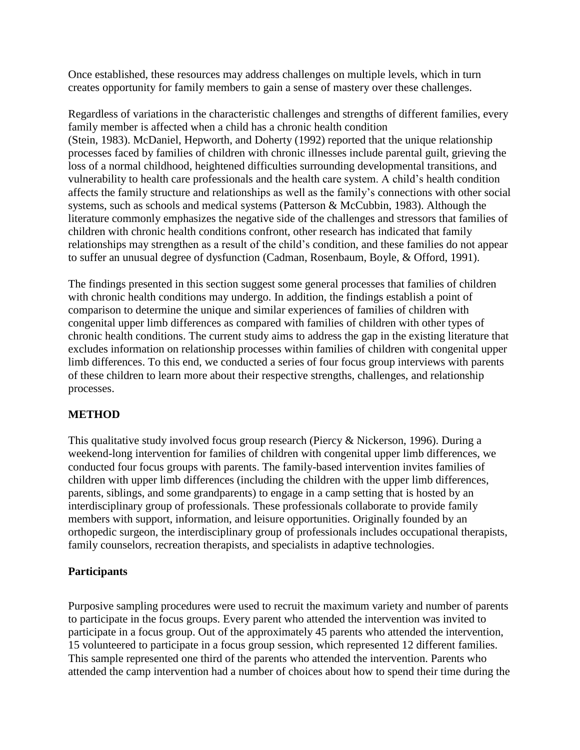Once established, these resources may address challenges on multiple levels, which in turn creates opportunity for family members to gain a sense of mastery over these challenges.

Regardless of variations in the characteristic challenges and strengths of different families, every family member is affected when a child has a chronic health condition (Stein, 1983). McDaniel, Hepworth, and Doherty (1992) reported that the unique relationship processes faced by families of children with chronic illnesses include parental guilt, grieving the loss of a normal childhood, heightened difficulties surrounding developmental transitions, and vulnerability to health care professionals and the health care system. A child's health condition affects the family structure and relationships as well as the family's connections with other social systems, such as schools and medical systems (Patterson & McCubbin, 1983). Although the literature commonly emphasizes the negative side of the challenges and stressors that families of children with chronic health conditions confront, other research has indicated that family relationships may strengthen as a result of the child's condition, and these families do not appear to suffer an unusual degree of dysfunction (Cadman, Rosenbaum, Boyle, & Offord, 1991).

The findings presented in this section suggest some general processes that families of children with chronic health conditions may undergo. In addition, the findings establish a point of comparison to determine the unique and similar experiences of families of children with congenital upper limb differences as compared with families of children with other types of chronic health conditions. The current study aims to address the gap in the existing literature that excludes information on relationship processes within families of children with congenital upper limb differences. To this end, we conducted a series of four focus group interviews with parents of these children to learn more about their respective strengths, challenges, and relationship processes.

# **METHOD**

This qualitative study involved focus group research (Piercy & Nickerson, 1996). During a weekend-long intervention for families of children with congenital upper limb differences, we conducted four focus groups with parents. The family-based intervention invites families of children with upper limb differences (including the children with the upper limb differences, parents, siblings, and some grandparents) to engage in a camp setting that is hosted by an interdisciplinary group of professionals. These professionals collaborate to provide family members with support, information, and leisure opportunities. Originally founded by an orthopedic surgeon, the interdisciplinary group of professionals includes occupational therapists, family counselors, recreation therapists, and specialists in adaptive technologies.

# **Participants**

Purposive sampling procedures were used to recruit the maximum variety and number of parents to participate in the focus groups. Every parent who attended the intervention was invited to participate in a focus group. Out of the approximately 45 parents who attended the intervention, 15 volunteered to participate in a focus group session, which represented 12 different families. This sample represented one third of the parents who attended the intervention. Parents who attended the camp intervention had a number of choices about how to spend their time during the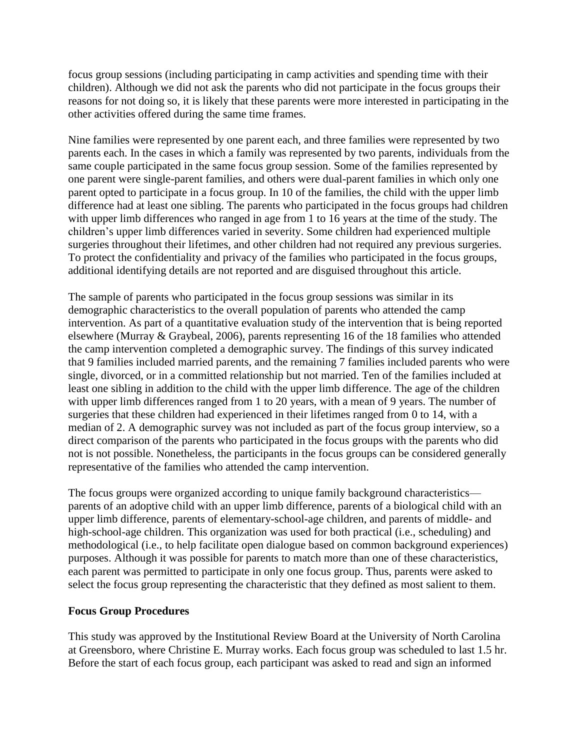focus group sessions (including participating in camp activities and spending time with their children). Although we did not ask the parents who did not participate in the focus groups their reasons for not doing so, it is likely that these parents were more interested in participating in the other activities offered during the same time frames.

Nine families were represented by one parent each, and three families were represented by two parents each. In the cases in which a family was represented by two parents, individuals from the same couple participated in the same focus group session. Some of the families represented by one parent were single-parent families, and others were dual-parent families in which only one parent opted to participate in a focus group. In 10 of the families, the child with the upper limb difference had at least one sibling. The parents who participated in the focus groups had children with upper limb differences who ranged in age from 1 to 16 years at the time of the study. The children's upper limb differences varied in severity. Some children had experienced multiple surgeries throughout their lifetimes, and other children had not required any previous surgeries. To protect the confidentiality and privacy of the families who participated in the focus groups, additional identifying details are not reported and are disguised throughout this article.

The sample of parents who participated in the focus group sessions was similar in its demographic characteristics to the overall population of parents who attended the camp intervention. As part of a quantitative evaluation study of the intervention that is being reported elsewhere (Murray & Graybeal, 2006), parents representing 16 of the 18 families who attended the camp intervention completed a demographic survey. The findings of this survey indicated that 9 families included married parents, and the remaining 7 families included parents who were single, divorced, or in a committed relationship but not married. Ten of the families included at least one sibling in addition to the child with the upper limb difference. The age of the children with upper limb differences ranged from 1 to 20 years, with a mean of 9 years. The number of surgeries that these children had experienced in their lifetimes ranged from 0 to 14, with a median of 2. A demographic survey was not included as part of the focus group interview, so a direct comparison of the parents who participated in the focus groups with the parents who did not is not possible. Nonetheless, the participants in the focus groups can be considered generally representative of the families who attended the camp intervention.

The focus groups were organized according to unique family background characteristics parents of an adoptive child with an upper limb difference, parents of a biological child with an upper limb difference, parents of elementary-school-age children, and parents of middle- and high-school-age children. This organization was used for both practical (i.e., scheduling) and methodological (i.e., to help facilitate open dialogue based on common background experiences) purposes. Although it was possible for parents to match more than one of these characteristics, each parent was permitted to participate in only one focus group. Thus, parents were asked to select the focus group representing the characteristic that they defined as most salient to them.

#### **Focus Group Procedures**

This study was approved by the Institutional Review Board at the University of North Carolina at Greensboro, where Christine E. Murray works. Each focus group was scheduled to last 1.5 hr. Before the start of each focus group, each participant was asked to read and sign an informed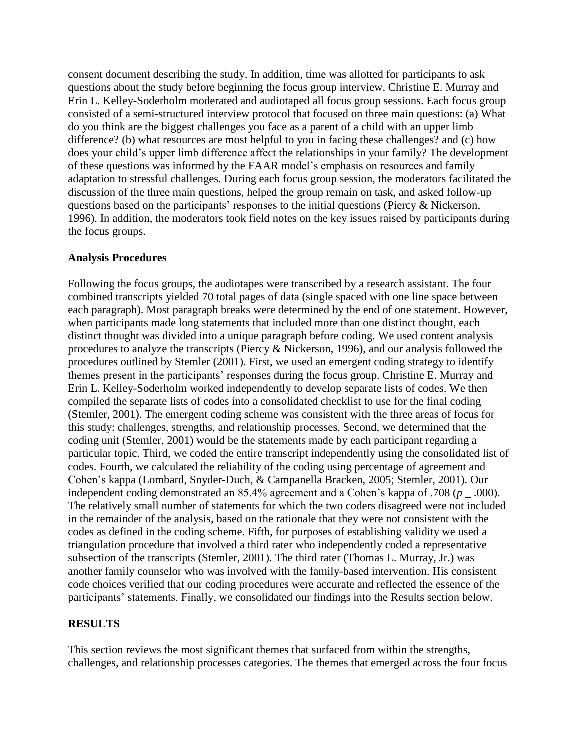consent document describing the study. In addition, time was allotted for participants to ask questions about the study before beginning the focus group interview. Christine E. Murray and Erin L. Kelley-Soderholm moderated and audiotaped all focus group sessions. Each focus group consisted of a semi-structured interview protocol that focused on three main questions: (a) What do you think are the biggest challenges you face as a parent of a child with an upper limb difference? (b) what resources are most helpful to you in facing these challenges? and (c) how does your child's upper limb difference affect the relationships in your family? The development of these questions was informed by the FAAR model's emphasis on resources and family adaptation to stressful challenges. During each focus group session, the moderators facilitated the discussion of the three main questions, helped the group remain on task, and asked follow-up questions based on the participants' responses to the initial questions (Piercy & Nickerson, 1996). In addition, the moderators took field notes on the key issues raised by participants during the focus groups.

#### **Analysis Procedures**

Following the focus groups, the audiotapes were transcribed by a research assistant. The four combined transcripts yielded 70 total pages of data (single spaced with one line space between each paragraph). Most paragraph breaks were determined by the end of one statement. However, when participants made long statements that included more than one distinct thought, each distinct thought was divided into a unique paragraph before coding. We used content analysis procedures to analyze the transcripts (Piercy & Nickerson, 1996), and our analysis followed the procedures outlined by Stemler (2001). First, we used an emergent coding strategy to identify themes present in the participants' responses during the focus group. Christine E. Murray and Erin L. Kelley-Soderholm worked independently to develop separate lists of codes. We then compiled the separate lists of codes into a consolidated checklist to use for the final coding (Stemler, 2001). The emergent coding scheme was consistent with the three areas of focus for this study: challenges, strengths, and relationship processes. Second, we determined that the coding unit (Stemler, 2001) would be the statements made by each participant regarding a particular topic. Third, we coded the entire transcript independently using the consolidated list of codes. Fourth, we calculated the reliability of the coding using percentage of agreement and Cohen's kappa (Lombard, Snyder-Duch, & Campanella Bracken, 2005; Stemler, 2001). Our independent coding demonstrated an 85.4% agreement and a Cohen's kappa of .708 (*p* \_ .000). The relatively small number of statements for which the two coders disagreed were not included in the remainder of the analysis, based on the rationale that they were not consistent with the codes as defined in the coding scheme. Fifth, for purposes of establishing validity we used a triangulation procedure that involved a third rater who independently coded a representative subsection of the transcripts (Stemler, 2001). The third rater (Thomas L. Murray, Jr.) was another family counselor who was involved with the family-based intervention. His consistent code choices verified that our coding procedures were accurate and reflected the essence of the participants' statements. Finally, we consolidated our findings into the Results section below.

# **RESULTS**

This section reviews the most significant themes that surfaced from within the strengths, challenges, and relationship processes categories. The themes that emerged across the four focus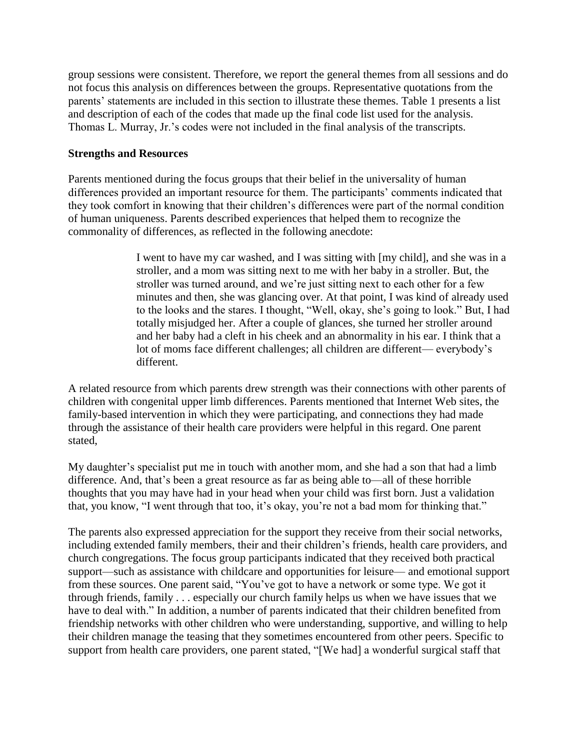group sessions were consistent. Therefore, we report the general themes from all sessions and do not focus this analysis on differences between the groups. Representative quotations from the parents' statements are included in this section to illustrate these themes. Table 1 presents a list and description of each of the codes that made up the final code list used for the analysis. Thomas L. Murray, Jr.'s codes were not included in the final analysis of the transcripts.

## **Strengths and Resources**

Parents mentioned during the focus groups that their belief in the universality of human differences provided an important resource for them. The participants' comments indicated that they took comfort in knowing that their children's differences were part of the normal condition of human uniqueness. Parents described experiences that helped them to recognize the commonality of differences, as reflected in the following anecdote:

> I went to have my car washed, and I was sitting with [my child], and she was in a stroller, and a mom was sitting next to me with her baby in a stroller. But, the stroller was turned around, and we're just sitting next to each other for a few minutes and then, she was glancing over. At that point, I was kind of already used to the looks and the stares. I thought, "Well, okay, she's going to look." But, I had totally misjudged her. After a couple of glances, she turned her stroller around and her baby had a cleft in his cheek and an abnormality in his ear. I think that a lot of moms face different challenges; all children are different— everybody's different.

A related resource from which parents drew strength was their connections with other parents of children with congenital upper limb differences. Parents mentioned that Internet Web sites, the family-based intervention in which they were participating, and connections they had made through the assistance of their health care providers were helpful in this regard. One parent stated,

My daughter's specialist put me in touch with another mom, and she had a son that had a limb difference. And, that's been a great resource as far as being able to—all of these horrible thoughts that you may have had in your head when your child was first born. Just a validation that, you know, "I went through that too, it's okay, you're not a bad mom for thinking that."

The parents also expressed appreciation for the support they receive from their social networks, including extended family members, their and their children's friends, health care providers, and church congregations. The focus group participants indicated that they received both practical support—such as assistance with childcare and opportunities for leisure— and emotional support from these sources. One parent said, "You've got to have a network or some type. We got it through friends, family . . . especially our church family helps us when we have issues that we have to deal with." In addition, a number of parents indicated that their children benefited from friendship networks with other children who were understanding, supportive, and willing to help their children manage the teasing that they sometimes encountered from other peers. Specific to support from health care providers, one parent stated, "[We had] a wonderful surgical staff that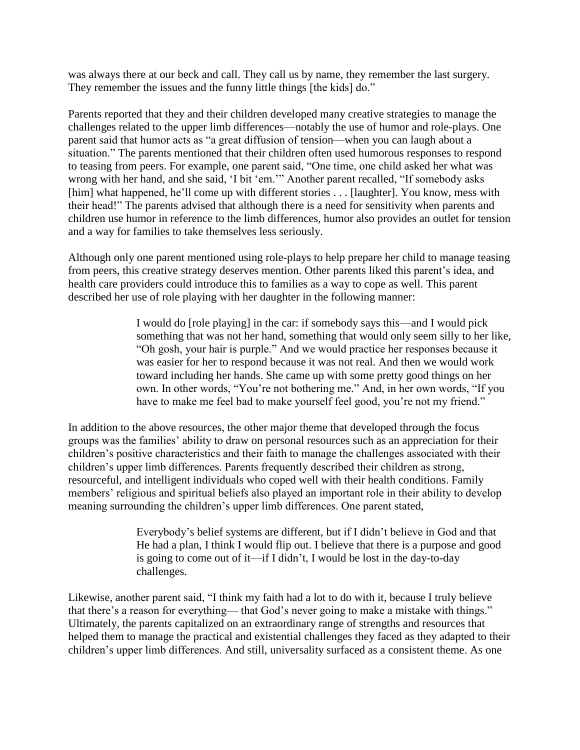was always there at our beck and call. They call us by name, they remember the last surgery. They remember the issues and the funny little things [the kids] do."

Parents reported that they and their children developed many creative strategies to manage the challenges related to the upper limb differences—notably the use of humor and role-plays. One parent said that humor acts as "a great diffusion of tension—when you can laugh about a situation." The parents mentioned that their children often used humorous responses to respond to teasing from peers. For example, one parent said, "One time, one child asked her what was wrong with her hand, and she said, 'I bit 'em.'" Another parent recalled, "If somebody asks [him] what happened, he'll come up with different stories . . . [laughter]. You know, mess with their head!" The parents advised that although there is a need for sensitivity when parents and children use humor in reference to the limb differences, humor also provides an outlet for tension and a way for families to take themselves less seriously.

Although only one parent mentioned using role-plays to help prepare her child to manage teasing from peers, this creative strategy deserves mention. Other parents liked this parent's idea, and health care providers could introduce this to families as a way to cope as well. This parent described her use of role playing with her daughter in the following manner:

> I would do [role playing] in the car: if somebody says this—and I would pick something that was not her hand, something that would only seem silly to her like, "Oh gosh, your hair is purple." And we would practice her responses because it was easier for her to respond because it was not real. And then we would work toward including her hands. She came up with some pretty good things on her own. In other words, "You're not bothering me." And, in her own words, "If you have to make me feel bad to make yourself feel good, you're not my friend."

In addition to the above resources, the other major theme that developed through the focus groups was the families' ability to draw on personal resources such as an appreciation for their children's positive characteristics and their faith to manage the challenges associated with their children's upper limb differences. Parents frequently described their children as strong, resourceful, and intelligent individuals who coped well with their health conditions. Family members' religious and spiritual beliefs also played an important role in their ability to develop meaning surrounding the children's upper limb differences. One parent stated,

> Everybody's belief systems are different, but if I didn't believe in God and that He had a plan, I think I would flip out. I believe that there is a purpose and good is going to come out of it—if I didn't, I would be lost in the day-to-day challenges.

Likewise, another parent said, "I think my faith had a lot to do with it, because I truly believe that there's a reason for everything— that God's never going to make a mistake with things." Ultimately, the parents capitalized on an extraordinary range of strengths and resources that helped them to manage the practical and existential challenges they faced as they adapted to their children's upper limb differences. And still, universality surfaced as a consistent theme. As one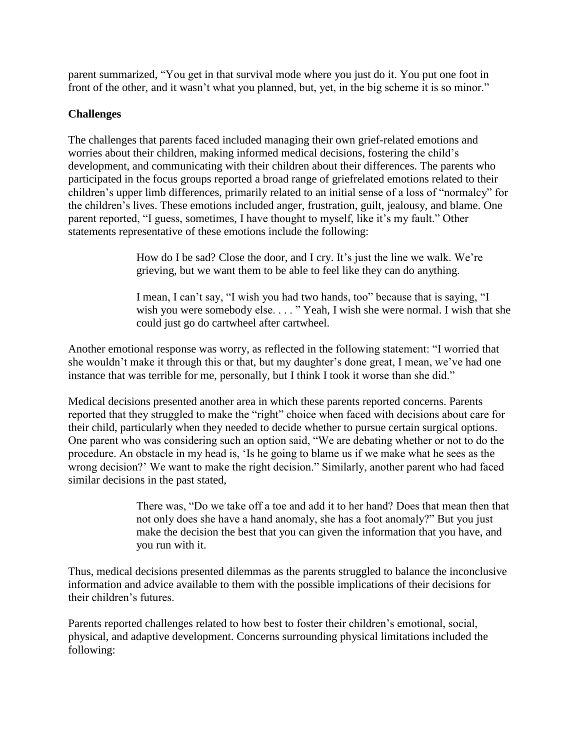parent summarized, "You get in that survival mode where you just do it. You put one foot in front of the other, and it wasn't what you planned, but, yet, in the big scheme it is so minor."

## **Challenges**

The challenges that parents faced included managing their own grief-related emotions and worries about their children, making informed medical decisions, fostering the child's development, and communicating with their children about their differences. The parents who participated in the focus groups reported a broad range of griefrelated emotions related to their children's upper limb differences, primarily related to an initial sense of a loss of "normalcy" for the children's lives. These emotions included anger, frustration, guilt, jealousy, and blame. One parent reported, "I guess, sometimes, I have thought to myself, like it's my fault." Other statements representative of these emotions include the following:

> How do I be sad? Close the door, and I cry. It's just the line we walk. We're grieving, but we want them to be able to feel like they can do anything.

I mean, I can't say, "I wish you had two hands, too" because that is saying, "I wish you were somebody else. . . . " Yeah, I wish she were normal. I wish that she could just go do cartwheel after cartwheel.

Another emotional response was worry, as reflected in the following statement: "I worried that she wouldn't make it through this or that, but my daughter's done great, I mean, we've had one instance that was terrible for me, personally, but I think I took it worse than she did."

Medical decisions presented another area in which these parents reported concerns. Parents reported that they struggled to make the "right" choice when faced with decisions about care for their child, particularly when they needed to decide whether to pursue certain surgical options. One parent who was considering such an option said, "We are debating whether or not to do the procedure. An obstacle in my head is, 'Is he going to blame us if we make what he sees as the wrong decision?' We want to make the right decision." Similarly, another parent who had faced similar decisions in the past stated,

> There was, "Do we take off a toe and add it to her hand? Does that mean then that not only does she have a hand anomaly, she has a foot anomaly?" But you just make the decision the best that you can given the information that you have, and you run with it.

Thus, medical decisions presented dilemmas as the parents struggled to balance the inconclusive information and advice available to them with the possible implications of their decisions for their children's futures.

Parents reported challenges related to how best to foster their children's emotional, social, physical, and adaptive development. Concerns surrounding physical limitations included the following: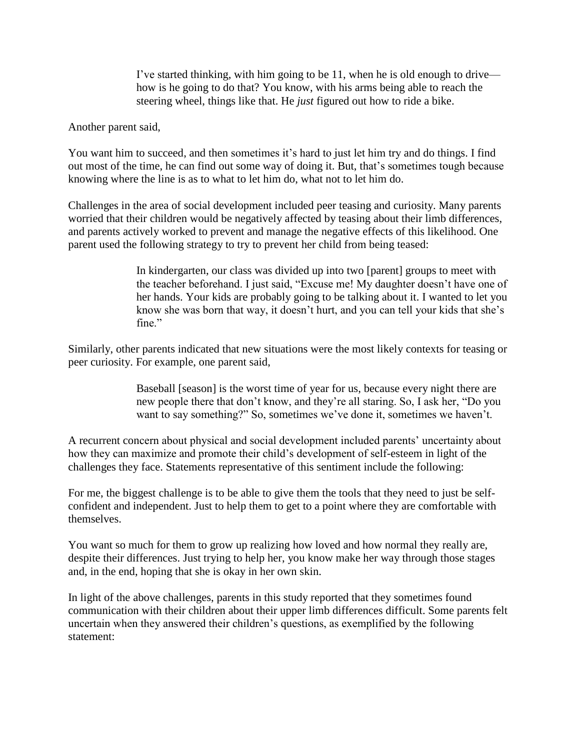I've started thinking, with him going to be 11, when he is old enough to drive how is he going to do that? You know, with his arms being able to reach the steering wheel, things like that. He *just* figured out how to ride a bike.

Another parent said,

You want him to succeed, and then sometimes it's hard to just let him try and do things. I find out most of the time, he can find out some way of doing it. But, that's sometimes tough because knowing where the line is as to what to let him do, what not to let him do.

Challenges in the area of social development included peer teasing and curiosity. Many parents worried that their children would be negatively affected by teasing about their limb differences, and parents actively worked to prevent and manage the negative effects of this likelihood. One parent used the following strategy to try to prevent her child from being teased:

> In kindergarten, our class was divided up into two [parent] groups to meet with the teacher beforehand. I just said, "Excuse me! My daughter doesn't have one of her hands. Your kids are probably going to be talking about it. I wanted to let you know she was born that way, it doesn't hurt, and you can tell your kids that she's fine"

Similarly, other parents indicated that new situations were the most likely contexts for teasing or peer curiosity. For example, one parent said,

> Baseball [season] is the worst time of year for us, because every night there are new people there that don't know, and they're all staring. So, I ask her, "Do you want to say something?" So, sometimes we've done it, sometimes we haven't.

A recurrent concern about physical and social development included parents' uncertainty about how they can maximize and promote their child's development of self-esteem in light of the challenges they face. Statements representative of this sentiment include the following:

For me, the biggest challenge is to be able to give them the tools that they need to just be selfconfident and independent. Just to help them to get to a point where they are comfortable with themselves.

You want so much for them to grow up realizing how loved and how normal they really are, despite their differences. Just trying to help her, you know make her way through those stages and, in the end, hoping that she is okay in her own skin.

In light of the above challenges, parents in this study reported that they sometimes found communication with their children about their upper limb differences difficult. Some parents felt uncertain when they answered their children's questions, as exemplified by the following statement: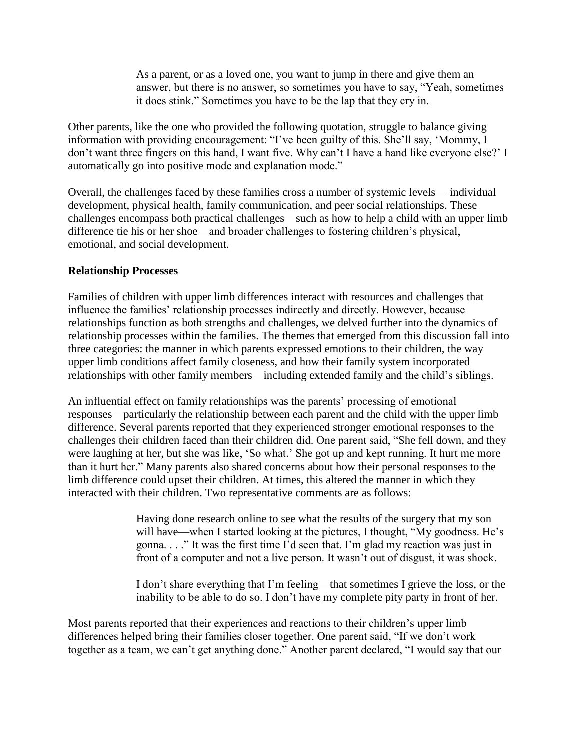As a parent, or as a loved one, you want to jump in there and give them an answer, but there is no answer, so sometimes you have to say, "Yeah, sometimes it does stink." Sometimes you have to be the lap that they cry in.

Other parents, like the one who provided the following quotation, struggle to balance giving information with providing encouragement: "I've been guilty of this. She'll say, 'Mommy, I don't want three fingers on this hand, I want five. Why can't I have a hand like everyone else?' I automatically go into positive mode and explanation mode."

Overall, the challenges faced by these families cross a number of systemic levels— individual development, physical health, family communication, and peer social relationships. These challenges encompass both practical challenges—such as how to help a child with an upper limb difference tie his or her shoe—and broader challenges to fostering children's physical, emotional, and social development.

## **Relationship Processes**

Families of children with upper limb differences interact with resources and challenges that influence the families' relationship processes indirectly and directly. However, because relationships function as both strengths and challenges, we delved further into the dynamics of relationship processes within the families. The themes that emerged from this discussion fall into three categories: the manner in which parents expressed emotions to their children, the way upper limb conditions affect family closeness, and how their family system incorporated relationships with other family members—including extended family and the child's siblings.

An influential effect on family relationships was the parents' processing of emotional responses—particularly the relationship between each parent and the child with the upper limb difference. Several parents reported that they experienced stronger emotional responses to the challenges their children faced than their children did. One parent said, "She fell down, and they were laughing at her, but she was like, 'So what.' She got up and kept running. It hurt me more than it hurt her." Many parents also shared concerns about how their personal responses to the limb difference could upset their children. At times, this altered the manner in which they interacted with their children. Two representative comments are as follows:

> Having done research online to see what the results of the surgery that my son will have—when I started looking at the pictures, I thought, "My goodness. He's gonna. . . ." It was the first time I'd seen that. I'm glad my reaction was just in front of a computer and not a live person. It wasn't out of disgust, it was shock.

> I don't share everything that I'm feeling—that sometimes I grieve the loss, or the inability to be able to do so. I don't have my complete pity party in front of her.

Most parents reported that their experiences and reactions to their children's upper limb differences helped bring their families closer together. One parent said, "If we don't work together as a team, we can't get anything done." Another parent declared, "I would say that our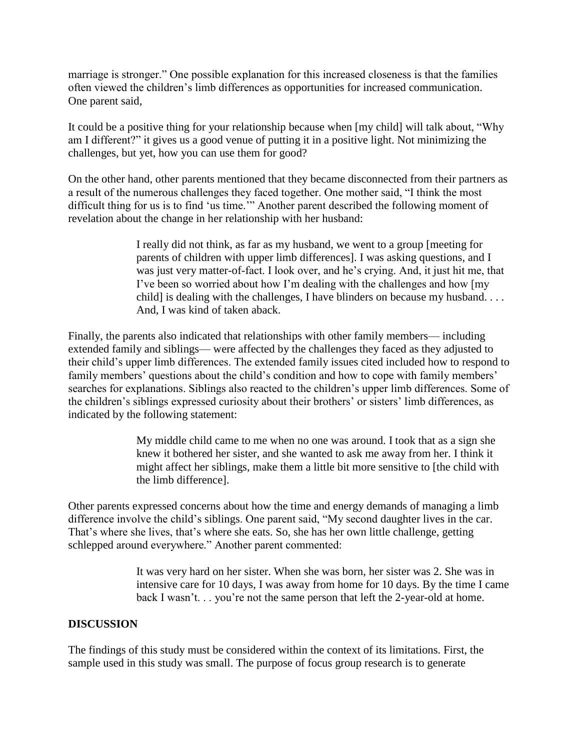marriage is stronger." One possible explanation for this increased closeness is that the families often viewed the children's limb differences as opportunities for increased communication. One parent said,

It could be a positive thing for your relationship because when [my child] will talk about, "Why am I different?" it gives us a good venue of putting it in a positive light. Not minimizing the challenges, but yet, how you can use them for good?

On the other hand, other parents mentioned that they became disconnected from their partners as a result of the numerous challenges they faced together. One mother said, "I think the most difficult thing for us is to find 'us time.'" Another parent described the following moment of revelation about the change in her relationship with her husband:

> I really did not think, as far as my husband, we went to a group [meeting for parents of children with upper limb differences]. I was asking questions, and I was just very matter-of-fact. I look over, and he's crying. And, it just hit me, that I've been so worried about how I'm dealing with the challenges and how [my child] is dealing with the challenges, I have blinders on because my husband. . . . And, I was kind of taken aback.

Finally, the parents also indicated that relationships with other family members— including extended family and siblings— were affected by the challenges they faced as they adjusted to their child's upper limb differences. The extended family issues cited included how to respond to family members' questions about the child's condition and how to cope with family members' searches for explanations. Siblings also reacted to the children's upper limb differences. Some of the children's siblings expressed curiosity about their brothers' or sisters' limb differences, as indicated by the following statement:

> My middle child came to me when no one was around. I took that as a sign she knew it bothered her sister, and she wanted to ask me away from her. I think it might affect her siblings, make them a little bit more sensitive to [the child with the limb difference].

Other parents expressed concerns about how the time and energy demands of managing a limb difference involve the child's siblings. One parent said, "My second daughter lives in the car. That's where she lives, that's where she eats. So, she has her own little challenge, getting schlepped around everywhere." Another parent commented:

> It was very hard on her sister. When she was born, her sister was 2. She was in intensive care for 10 days, I was away from home for 10 days. By the time I came back I wasn't. . . you're not the same person that left the 2-year-old at home.

#### **DISCUSSION**

The findings of this study must be considered within the context of its limitations. First, the sample used in this study was small. The purpose of focus group research is to generate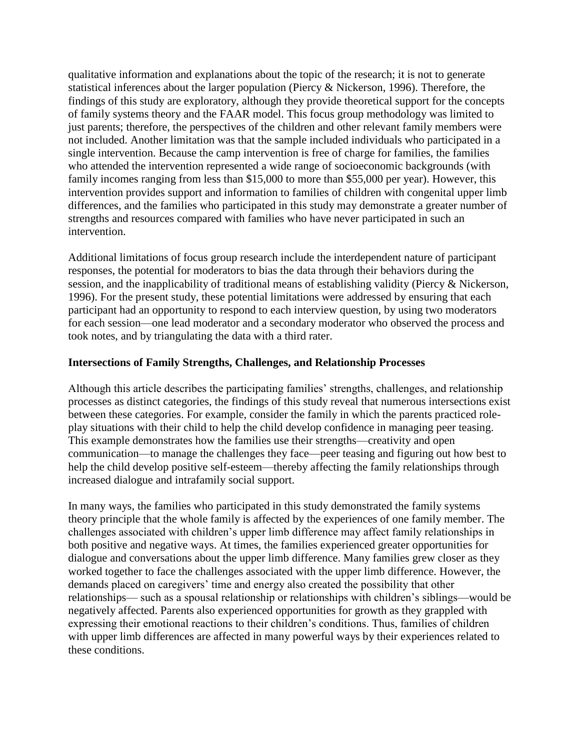qualitative information and explanations about the topic of the research; it is not to generate statistical inferences about the larger population (Piercy & Nickerson, 1996). Therefore, the findings of this study are exploratory, although they provide theoretical support for the concepts of family systems theory and the FAAR model. This focus group methodology was limited to just parents; therefore, the perspectives of the children and other relevant family members were not included. Another limitation was that the sample included individuals who participated in a single intervention. Because the camp intervention is free of charge for families, the families who attended the intervention represented a wide range of socioeconomic backgrounds (with family incomes ranging from less than \$15,000 to more than \$55,000 per year). However, this intervention provides support and information to families of children with congenital upper limb differences, and the families who participated in this study may demonstrate a greater number of strengths and resources compared with families who have never participated in such an intervention.

Additional limitations of focus group research include the interdependent nature of participant responses, the potential for moderators to bias the data through their behaviors during the session, and the inapplicability of traditional means of establishing validity (Piercy & Nickerson, 1996). For the present study, these potential limitations were addressed by ensuring that each participant had an opportunity to respond to each interview question, by using two moderators for each session—one lead moderator and a secondary moderator who observed the process and took notes, and by triangulating the data with a third rater.

## **Intersections of Family Strengths, Challenges, and Relationship Processes**

Although this article describes the participating families' strengths, challenges, and relationship processes as distinct categories, the findings of this study reveal that numerous intersections exist between these categories. For example, consider the family in which the parents practiced roleplay situations with their child to help the child develop confidence in managing peer teasing. This example demonstrates how the families use their strengths—creativity and open communication—to manage the challenges they face—peer teasing and figuring out how best to help the child develop positive self-esteem—thereby affecting the family relationships through increased dialogue and intrafamily social support.

In many ways, the families who participated in this study demonstrated the family systems theory principle that the whole family is affected by the experiences of one family member. The challenges associated with children's upper limb difference may affect family relationships in both positive and negative ways. At times, the families experienced greater opportunities for dialogue and conversations about the upper limb difference. Many families grew closer as they worked together to face the challenges associated with the upper limb difference. However, the demands placed on caregivers' time and energy also created the possibility that other relationships— such as a spousal relationship or relationships with children's siblings—would be negatively affected. Parents also experienced opportunities for growth as they grappled with expressing their emotional reactions to their children's conditions. Thus, families of children with upper limb differences are affected in many powerful ways by their experiences related to these conditions.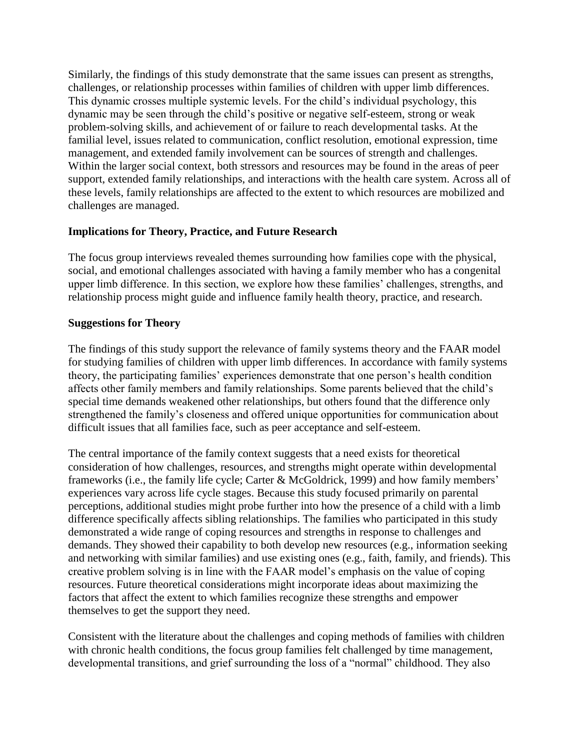Similarly, the findings of this study demonstrate that the same issues can present as strengths, challenges, or relationship processes within families of children with upper limb differences. This dynamic crosses multiple systemic levels. For the child's individual psychology, this dynamic may be seen through the child's positive or negative self-esteem, strong or weak problem-solving skills, and achievement of or failure to reach developmental tasks. At the familial level, issues related to communication, conflict resolution, emotional expression, time management, and extended family involvement can be sources of strength and challenges. Within the larger social context, both stressors and resources may be found in the areas of peer support, extended family relationships, and interactions with the health care system. Across all of these levels, family relationships are affected to the extent to which resources are mobilized and challenges are managed.

# **Implications for Theory, Practice, and Future Research**

The focus group interviews revealed themes surrounding how families cope with the physical, social, and emotional challenges associated with having a family member who has a congenital upper limb difference. In this section, we explore how these families' challenges, strengths, and relationship process might guide and influence family health theory, practice, and research.

## **Suggestions for Theory**

The findings of this study support the relevance of family systems theory and the FAAR model for studying families of children with upper limb differences. In accordance with family systems theory, the participating families' experiences demonstrate that one person's health condition affects other family members and family relationships. Some parents believed that the child's special time demands weakened other relationships, but others found that the difference only strengthened the family's closeness and offered unique opportunities for communication about difficult issues that all families face, such as peer acceptance and self-esteem.

The central importance of the family context suggests that a need exists for theoretical consideration of how challenges, resources, and strengths might operate within developmental frameworks (i.e., the family life cycle; Carter & McGoldrick, 1999) and how family members' experiences vary across life cycle stages. Because this study focused primarily on parental perceptions, additional studies might probe further into how the presence of a child with a limb difference specifically affects sibling relationships. The families who participated in this study demonstrated a wide range of coping resources and strengths in response to challenges and demands. They showed their capability to both develop new resources (e.g., information seeking and networking with similar families) and use existing ones (e.g., faith, family, and friends). This creative problem solving is in line with the FAAR model's emphasis on the value of coping resources. Future theoretical considerations might incorporate ideas about maximizing the factors that affect the extent to which families recognize these strengths and empower themselves to get the support they need.

Consistent with the literature about the challenges and coping methods of families with children with chronic health conditions, the focus group families felt challenged by time management, developmental transitions, and grief surrounding the loss of a "normal" childhood. They also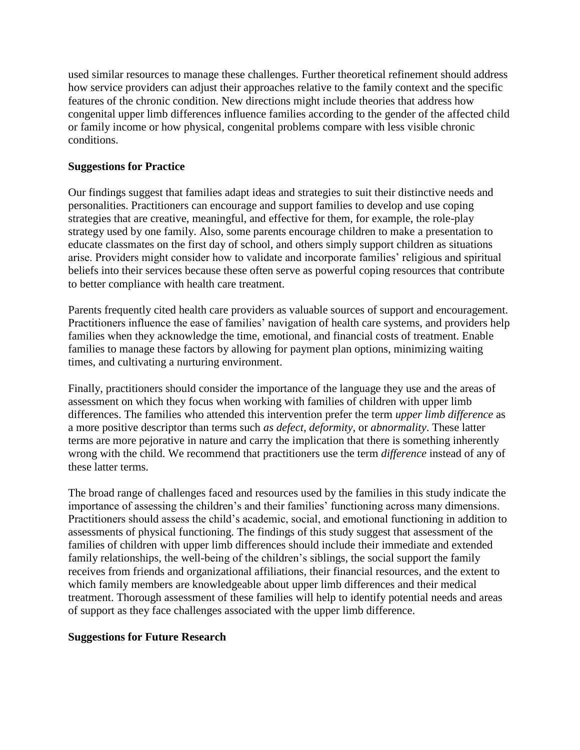used similar resources to manage these challenges. Further theoretical refinement should address how service providers can adjust their approaches relative to the family context and the specific features of the chronic condition. New directions might include theories that address how congenital upper limb differences influence families according to the gender of the affected child or family income or how physical, congenital problems compare with less visible chronic conditions.

## **Suggestions for Practice**

Our findings suggest that families adapt ideas and strategies to suit their distinctive needs and personalities. Practitioners can encourage and support families to develop and use coping strategies that are creative, meaningful, and effective for them, for example, the role-play strategy used by one family. Also, some parents encourage children to make a presentation to educate classmates on the first day of school, and others simply support children as situations arise. Providers might consider how to validate and incorporate families' religious and spiritual beliefs into their services because these often serve as powerful coping resources that contribute to better compliance with health care treatment.

Parents frequently cited health care providers as valuable sources of support and encouragement. Practitioners influence the ease of families' navigation of health care systems, and providers help families when they acknowledge the time, emotional, and financial costs of treatment. Enable families to manage these factors by allowing for payment plan options, minimizing waiting times, and cultivating a nurturing environment.

Finally, practitioners should consider the importance of the language they use and the areas of assessment on which they focus when working with families of children with upper limb differences. The families who attended this intervention prefer the term *upper limb difference* as a more positive descriptor than terms such *as defect, deformity*, or *abnormality*. These latter terms are more pejorative in nature and carry the implication that there is something inherently wrong with the child. We recommend that practitioners use the term *difference* instead of any of these latter terms.

The broad range of challenges faced and resources used by the families in this study indicate the importance of assessing the children's and their families' functioning across many dimensions. Practitioners should assess the child's academic, social, and emotional functioning in addition to assessments of physical functioning. The findings of this study suggest that assessment of the families of children with upper limb differences should include their immediate and extended family relationships, the well-being of the children's siblings, the social support the family receives from friends and organizational affiliations, their financial resources, and the extent to which family members are knowledgeable about upper limb differences and their medical treatment. Thorough assessment of these families will help to identify potential needs and areas of support as they face challenges associated with the upper limb difference.

#### **Suggestions for Future Research**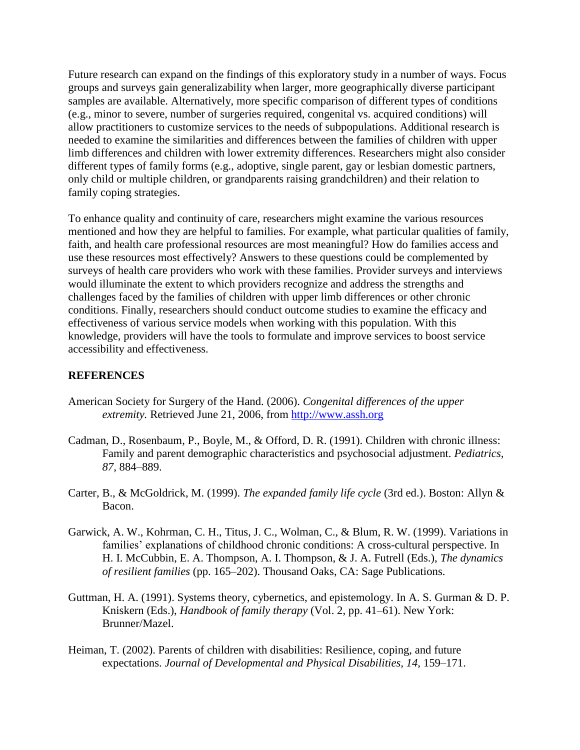Future research can expand on the findings of this exploratory study in a number of ways. Focus groups and surveys gain generalizability when larger, more geographically diverse participant samples are available. Alternatively, more specific comparison of different types of conditions (e.g., minor to severe, number of surgeries required, congenital vs. acquired conditions) will allow practitioners to customize services to the needs of subpopulations. Additional research is needed to examine the similarities and differences between the families of children with upper limb differences and children with lower extremity differences. Researchers might also consider different types of family forms (e.g., adoptive, single parent, gay or lesbian domestic partners, only child or multiple children, or grandparents raising grandchildren) and their relation to family coping strategies.

To enhance quality and continuity of care, researchers might examine the various resources mentioned and how they are helpful to families. For example, what particular qualities of family, faith, and health care professional resources are most meaningful? How do families access and use these resources most effectively? Answers to these questions could be complemented by surveys of health care providers who work with these families. Provider surveys and interviews would illuminate the extent to which providers recognize and address the strengths and challenges faced by the families of children with upper limb differences or other chronic conditions. Finally, researchers should conduct outcome studies to examine the efficacy and effectiveness of various service models when working with this population. With this knowledge, providers will have the tools to formulate and improve services to boost service accessibility and effectiveness.

#### **REFERENCES**

- American Society for Surgery of the Hand. (2006). *Congenital differences of the upper extremity.* Retrieved June 21, 2006, from [http://www.assh.org](http://www.assh.org/)
- Cadman, D., Rosenbaum, P., Boyle, M., & Offord, D. R. (1991). Children with chronic illness: Family and parent demographic characteristics and psychosocial adjustment. *Pediatrics, 87,* 884–889.
- Carter, B., & McGoldrick, M. (1999). *The expanded family life cycle* (3rd ed.). Boston: Allyn & Bacon.
- Garwick, A. W., Kohrman, C. H., Titus, J. C., Wolman, C., & Blum, R. W. (1999). Variations in families' explanations of childhood chronic conditions: A cross-cultural perspective. In H. I. McCubbin, E. A. Thompson, A. I. Thompson, & J. A. Futrell (Eds.), *The dynamics of resilient families* (pp. 165–202). Thousand Oaks, CA: Sage Publications.
- Guttman, H. A. (1991). Systems theory, cybernetics, and epistemology. In A. S. Gurman & D. P. Kniskern (Eds.), *Handbook of family therapy* (Vol. 2, pp. 41–61). New York: Brunner/Mazel.
- Heiman, T. (2002). Parents of children with disabilities: Resilience, coping, and future expectations. *Journal of Developmental and Physical Disabilities, 14,* 159–171.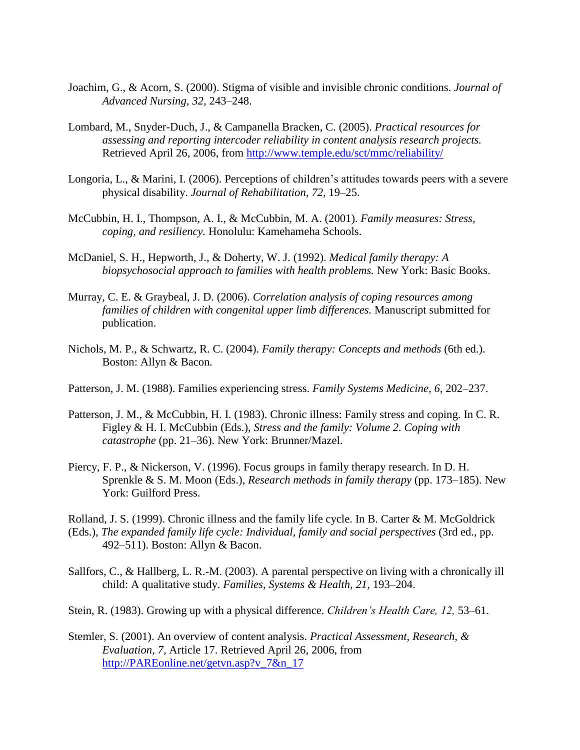- Joachim, G., & Acorn, S. (2000). Stigma of visible and invisible chronic conditions. *Journal of Advanced Nursing, 32,* 243–248.
- Lombard, M., Snyder-Duch, J., & Campanella Bracken, C. (2005). *Practical resources for assessing and reporting intercoder reliability in content analysis research projects.*  Retrieved April 26, 2006, from<http://www.temple.edu/sct/mmc/reliability/>
- Longoria, L., & Marini, I. (2006). Perceptions of children's attitudes towards peers with a severe physical disability. *Journal of Rehabilitation, 72,* 19–25.
- McCubbin, H. I., Thompson, A. I., & McCubbin, M. A. (2001). *Family measures: Stress, coping, and resiliency.* Honolulu: Kamehameha Schools.
- McDaniel, S. H., Hepworth, J., & Doherty, W. J. (1992). *Medical family therapy: A biopsychosocial approach to families with health problems.* New York: Basic Books.
- Murray, C. E. & Graybeal, J. D. (2006). *Correlation analysis of coping resources among families of children with congenital upper limb differences.* Manuscript submitted for publication.
- Nichols, M. P., & Schwartz, R. C. (2004). *Family therapy: Concepts and methods* (6th ed.). Boston: Allyn & Bacon*.*
- Patterson, J. M. (1988). Families experiencing stress. *Family Systems Medicine, 6,* 202–237.
- Patterson, J. M., & McCubbin, H. I. (1983). Chronic illness: Family stress and coping. In C. R. Figley & H. I. McCubbin (Eds.), *Stress and the family: Volume 2. Coping with catastrophe* (pp. 21–36). New York: Brunner/Mazel.
- Piercy, F. P., & Nickerson, V. (1996). Focus groups in family therapy research. In D. H. Sprenkle & S. M. Moon (Eds.), *Research methods in family therapy* (pp. 173–185). New York: Guilford Press.
- Rolland, J. S. (1999). Chronic illness and the family life cycle. In B. Carter & M. McGoldrick (Eds.), *The expanded family life cycle: Individual, family and social perspectives* (3rd ed., pp. 492–511). Boston: Allyn & Bacon.
- Sallfors, C., & Hallberg, L. R.-M. (2003). A parental perspective on living with a chronically ill child: A qualitative study. *Families, Systems & Health, 21,* 193–204.
- Stein, R. (1983). Growing up with a physical difference. *Children's Health Care, 12,* 53–61.
- Stemler, S. (2001). An overview of content analysis. *Practical Assessment, Research, & Evaluation, 7,* Article 17. Retrieved April 26, 2006, from [http://PAREonline.net/getvn.asp?v\\_7&n\\_17](http://pareonline.net/getvn.asp?v_7&n_17)